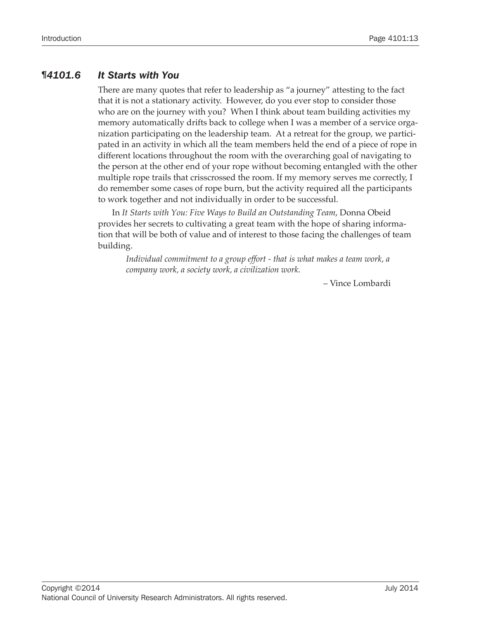# *¶4101.6 It Starts with You*

There are many quotes that refer to leadership as "a journey" attesting to the fact that it is not a stationary activity. However, do you ever stop to consider those who are on the journey with you? When I think about team building activities my memory automatically drifts back to college when I was a member of a service organization participating on the leadership team. At a retreat for the group, we participated in an activity in which all the team members held the end of a piece of rope in different locations throughout the room with the overarching goal of navigating to the person at the other end of your rope without becoming entangled with the other multiple rope trails that crisscrossed the room. If my memory serves me correctly, I do remember some cases of rope burn, but the activity required all the participants to work together and not individually in order to be successful.

In *It Starts with You: Five Ways to Build an Outstanding Team*, Donna Obeid provides her secrets to cultivating a great team with the hope of sharing information that will be both of value and of interest to those facing the challenges of team building.

*Individual commitment to a group effort - that is what makes a team work, a company work, a society work, a civilization work.*

– Vince Lombardi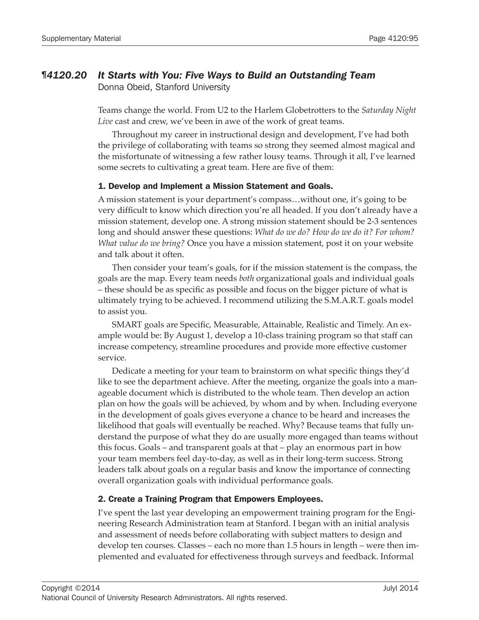# *¶4120.20 It Starts with You: Five Ways to Build an Outstanding Team*

Donna Obeid, Stanford University

Teams change the world. From U2 to the Harlem Globetrotters to the *Saturday Night Live* cast and crew, we've been in awe of the work of great teams.

Throughout my career in instructional design and development, I've had both the privilege of collaborating with teams so strong they seemed almost magical and the misfortunate of witnessing a few rather lousy teams. Through it all, I've learned some secrets to cultivating a great team. Here are five of them:

### 1. Develop and Implement a Mission Statement and Goals.

A mission statement is your department's compass…without one, it's going to be very difficult to know which direction you're all headed. If you don't already have a mission statement, develop one. A strong mission statement should be 2-3 sentences long and should answer these questions: *What do we do? How do we do it? For whom? What value do we bring?* Once you have a mission statement, post it on your website and talk about it often.

Then consider your team's goals, for if the mission statement is the compass, the goals are the map. Every team needs *both* organizational goals and individual goals - these should be as specific as possible and focus on the bigger picture of what is ultimately trying to be achieved. I recommend utilizing the S.M.A.R.T. goals model to assist you.

SMART goals are Specific, Measurable, Attainable, Realistic and Timely. An example would be: By August 1, develop a 10-class training program so that staff can increase competency, streamline procedures and provide more effective customer service.

Dedicate a meeting for your team to brainstorm on what specific things they'd like to see the department achieve. After the meeting, organize the goals into a manageable document which is distributed to the whole team. Then develop an action plan on how the goals will be achieved, by whom and by when. Including everyone in the development of goals gives everyone a chance to be heard and increases the likelihood that goals will eventually be reached. Why? Because teams that fully understand the purpose of what they do are usually more engaged than teams without this focus. Goals – and transparent goals at that – play an enormous part in how your team members feel day-to-day, as well as in their long-term success. Strong leaders talk about goals on a regular basis and know the importance of connecting overall organization goals with individual performance goals.

## 2. Create a Training Program that Empowers Employees.

I've spent the last year developing an empowerment training program for the Engineering Research Administration team at Stanford. I began with an initial analysis and assessment of needs before collaborating with subject matters to design and develop ten courses. Classes – each no more than  $1.5$  hours in length – were then implemented and evaluated for effectiveness through surveys and feedback. Informal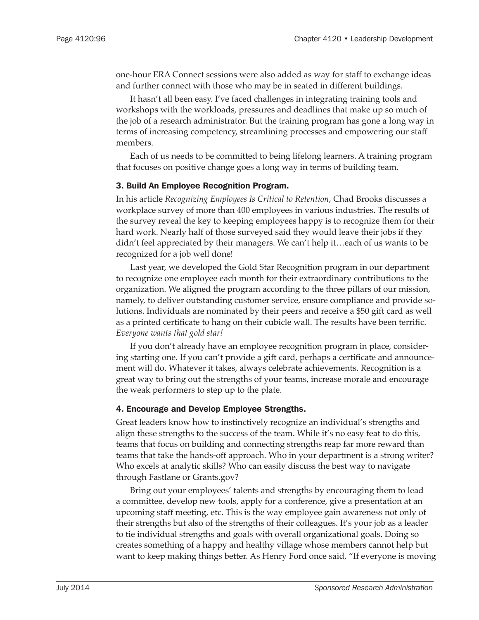one-hour ERA Connect sessions were also added as way for staff to exchange ideas and further connect with those who may be in seated in different buildings.

It hasn't all been easy. I've faced challenges in integrating training tools and workshops with the workloads, pressures and deadlines that make up so much of the job of a research administrator. But the training program has gone a long way in terms of increasing competency, streamlining processes and empowering our staff members.

Each of us needs to be committed to being lifelong learners. A training program that focuses on positive change goes a long way in terms of building team.

#### 3. Build An Employee Recognition Program.

In his article *Recognizing Employees Is Critical to Retention*, Chad Brooks discusses a workplace survey of more than 400 employees in various industries. The results of the survey reveal the key to keeping employees happy is to recognize them for their hard work. Nearly half of those surveyed said they would leave their jobs if they didn't feel appreciated by their managers. We can't help it…each of us wants to be recognized for a job well done!

Last year, we developed the Gold Star Recognition program in our department to recognize one employee each month for their extraordinary contributions to the organization. We aligned the program according to the three pillars of our mission, namely, to deliver outstanding customer service, ensure compliance and provide solutions. Individuals are nominated by their peers and receive a \$50 gift card as well as a printed certificate to hang on their cubicle wall. The results have been terrific. *Everyone wants that gold star!*

If you don't already have an employee recognition program in place, considering starting one. If you can't provide a gift card, perhaps a certificate and announcement will do. Whatever it takes, always celebrate achievements. Recognition is a great way to bring out the strengths of your teams, increase morale and encourage the weak performers to step up to the plate.

#### 4. Encourage and Develop Employee Strengths.

Great leaders know how to instinctively recognize an individual's strengths and align these strengths to the success of the team. While it's no easy feat to do this, teams that focus on building and connecting strengths reap far more reward than teams that take the hands-off approach. Who in your department is a strong writer? Who excels at analytic skills? Who can easily discuss the best way to navigate through Fastlane or Grants.gov?

Bring out your employees' talents and strengths by encouraging them to lead a committee, develop new tools, apply for a conference, give a presentation at an upcoming staff meeting, etc. This is the way employee gain awareness not only of their strengths but also of the strengths of their colleagues. It's your job as a leader to tie individual strengths and goals with overall organizational goals. Doing so creates something of a happy and healthy village whose members cannot help but want to keep making things better. As Henry Ford once said, "If everyone is moving